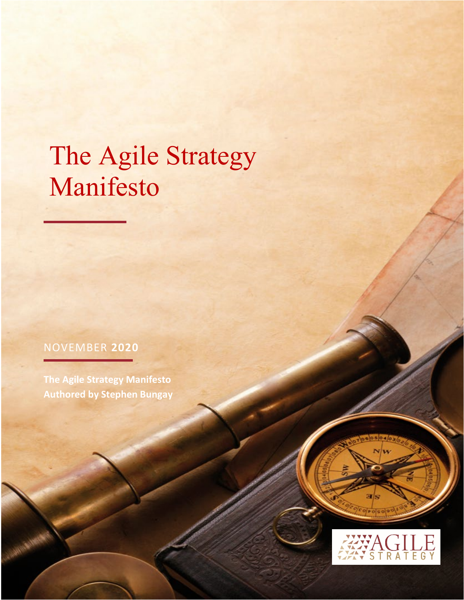# The Agile Strategy Manifesto

© Stephen Bungay 2020 Page | 1

### NOVEMBER **2020**

**The Agile Strategy Manifesto Authored by Stephen Bungay**



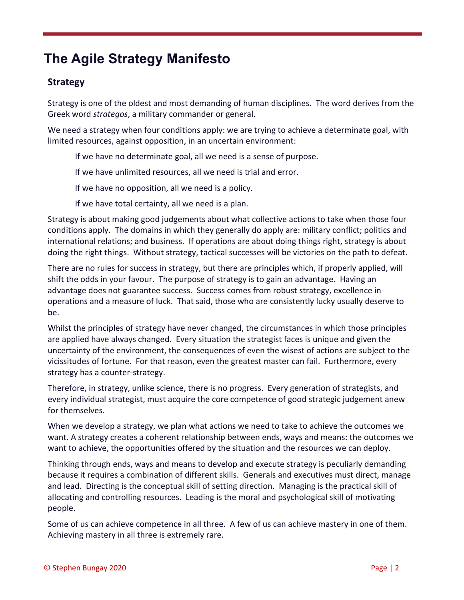## **The Agile Strategy Manifesto**

#### **Strategy**

Strategy is one of the oldest and most demanding of human disciplines. The word derives from the Greek word *strategos*, a military commander or general.

We need a strategy when four conditions apply: we are trying to achieve a determinate goal, with limited resources, against opposition, in an uncertain environment:

If we have no determinate goal, all we need is a sense of purpose.

If we have unlimited resources, all we need is trial and error.

If we have no opposition, all we need is a policy.

If we have total certainty, all we need is a plan.

Strategy is about making good judgements about what collective actions to take when those four conditions apply. The domains in which they generally do apply are: military conflict; politics and international relations; and business. If operations are about doing things right, strategy is about doing the right things. Without strategy, tactical successes will be victories on the path to defeat.

There are no rules for success in strategy, but there are principles which, if properly applied, will shift the odds in your favour. The purpose of strategy is to gain an advantage. Having an advantage does not guarantee success. Success comes from robust strategy, excellence in operations and a measure of luck. That said, those who are consistently lucky usually deserve to be.

Whilst the principles of strategy have never changed, the circumstances in which those principles are applied have always changed. Every situation the strategist faces is unique and given the uncertainty of the environment, the consequences of even the wisest of actions are subject to the vicissitudes of fortune. For that reason, even the greatest master can fail. Furthermore, every strategy has a counter-strategy.

Therefore, in strategy, unlike science, there is no progress. Every generation of strategists, and every individual strategist, must acquire the core competence of good strategic judgement anew for themselves.

When we develop a strategy, we plan what actions we need to take to achieve the outcomes we want. A strategy creates a coherent relationship between ends, ways and means: the outcomes we want to achieve, the opportunities offered by the situation and the resources we can deploy.

Thinking through ends, ways and means to develop and execute strategy is peculiarly demanding because it requires a combination of different skills. Generals and executives must direct, manage and lead. Directing is the conceptual skill of setting direction. Managing is the practical skill of allocating and controlling resources. Leading is the moral and psychological skill of motivating people.

Some of us can achieve competence in all three. A few of us can achieve mastery in one of them. Achieving mastery in all three is extremely rare.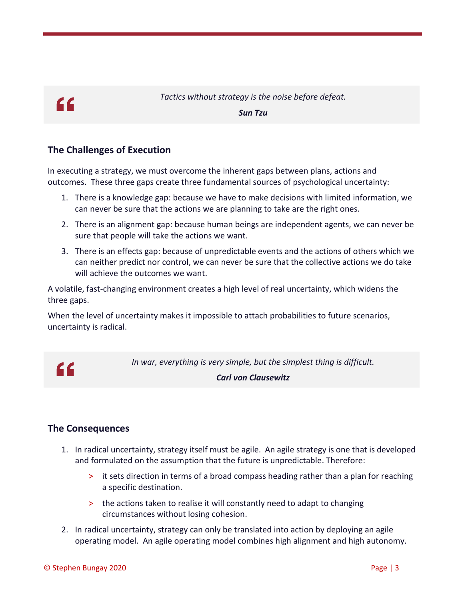## $C<sub>C</sub>$

*Tactics without strategy is the noise before defeat. Sun Tzu*

#### **The Challenges of Execution**

In executing a strategy, we must overcome the inherent gaps between plans, actions and outcomes. These three gaps create three fundamental sources of psychological uncertainty:

- 1. There is a knowledge gap: because we have to make decisions with limited information, we can never be sure that the actions we are planning to take are the right ones.
- 2. There is an alignment gap: because human beings are independent agents, we can never be sure that people will take the actions we want.
- 3. There is an effects gap: because of unpredictable events and the actions of others which we can neither predict nor control, we can never be sure that the collective actions we do take will achieve the outcomes we want.

A volatile, fast-changing environment creates a high level of real uncertainty, which widens the three gaps.

When the level of uncertainty makes it impossible to attach probabilities to future scenarios, uncertainty is radical.



*In war, everything is very simple, but the simplest thing is difficult.*

#### *Carl von Clausewitz*

#### **The Consequences**

- 1. In radical uncertainty, strategy itself must be agile. An agile strategy is one that is developed and formulated on the assumption that the future is unpredictable. Therefore:
	- > it sets direction in terms of a broad compass heading rather than a plan for reaching a specific destination.
	- > the actions taken to realise it will constantly need to adapt to changing circumstances without losing cohesion.
- 2. In radical uncertainty, strategy can only be translated into action by deploying an agile operating model. An agile operating model combines high alignment and high autonomy.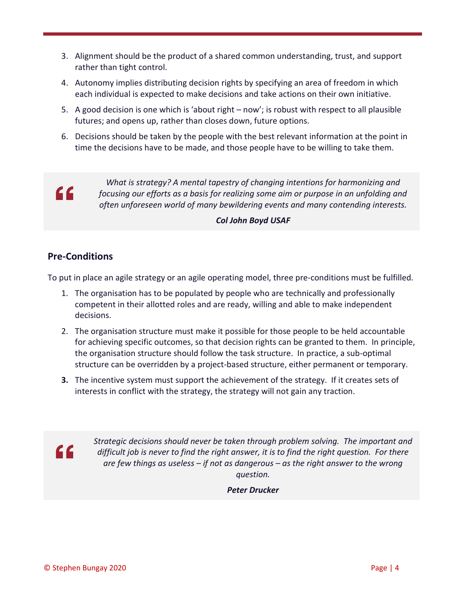- 3. Alignment should be the product of a shared common understanding, trust, and support rather than tight control.
- 4. Autonomy implies distributing decision rights by specifying an area of freedom in which each individual is expected to make decisions and take actions on their own initiative.
- 5. A good decision is one which is 'about right now'; is robust with respect to all plausible futures; and opens up, rather than closes down, future options.
- 6. Decisions should be taken by the people with the best relevant information at the point in time the decisions have to be made, and those people have to be willing to take them.



*What is strategy? A mental tapestry of changing intentions for harmonizing and focusing our efforts as a basis for realizing some aim or purpose in an unfolding and often unforeseen world of many bewildering events and many contending interests.*

#### *Col John Boyd USAF*

#### **Pre-Conditions**

To put in place an agile strategy or an agile operating model, three pre-conditions must be fulfilled.

- 1. The organisation has to be populated by people who are technically and professionally competent in their allotted roles and are ready, willing and able to make independent decisions.
- 2. The organisation structure must make it possible for those people to be held accountable for achieving specific outcomes, so that decision rights can be granted to them. In principle, the organisation structure should follow the task structure. In practice, a sub-optimal structure can be overridden by a project-based structure, either permanent or temporary.
- **3.** The incentive system must support the achievement of the strategy. If it creates sets of interests in conflict with the strategy, the strategy will not gain any traction.



*Strategic decisions should never be taken through problem solving. The important and difficult job is never to find the right answer, it is to find the right question. For there are few things as useless – if not as dangerous – as the right answer to the wrong question.*

*Peter Drucker*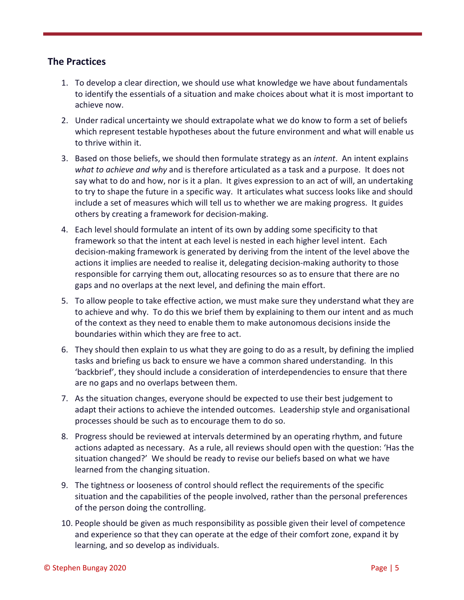#### **The Practices**

- 1. To develop a clear direction, we should use what knowledge we have about fundamentals to identify the essentials of a situation and make choices about what it is most important to achieve now.
- 2. Under radical uncertainty we should extrapolate what we do know to form a set of beliefs which represent testable hypotheses about the future environment and what will enable us to thrive within it.
- 3. Based on those beliefs, we should then formulate strategy as an *intent*. An intent explains *what to achieve and why* and is therefore articulated as a task and a purpose. It does not say what to do and how, nor is it a plan. It gives expression to an act of will, an undertaking to try to shape the future in a specific way. It articulates what success looks like and should include a set of measures which will tell us to whether we are making progress. It guides others by creating a framework for decision-making.
- 4. Each level should formulate an intent of its own by adding some specificity to that framework so that the intent at each level is nested in each higher level intent. Each decision-making framework is generated by deriving from the intent of the level above the actions it implies are needed to realise it, delegating decision-making authority to those responsible for carrying them out, allocating resources so as to ensure that there are no gaps and no overlaps at the next level, and defining the main effort.
- 5. To allow people to take effective action, we must make sure they understand what they are to achieve and why. To do this we brief them by explaining to them our intent and as much of the context as they need to enable them to make autonomous decisions inside the boundaries within which they are free to act.
- 6. They should then explain to us what they are going to do as a result, by defining the implied tasks and briefing us back to ensure we have a common shared understanding. In this 'backbrief', they should include a consideration of interdependencies to ensure that there are no gaps and no overlaps between them.
- 7. As the situation changes, everyone should be expected to use their best judgement to adapt their actions to achieve the intended outcomes. Leadership style and organisational processes should be such as to encourage them to do so.
- 8. Progress should be reviewed at intervals determined by an operating rhythm, and future actions adapted as necessary. As a rule, all reviews should open with the question: 'Has the situation changed?' We should be ready to revise our beliefs based on what we have learned from the changing situation.
- 9. The tightness or looseness of control should reflect the requirements of the specific situation and the capabilities of the people involved, rather than the personal preferences of the person doing the controlling.
- 10. People should be given as much responsibility as possible given their level of competence and experience so that they can operate at the edge of their comfort zone, expand it by learning, and so develop as individuals.